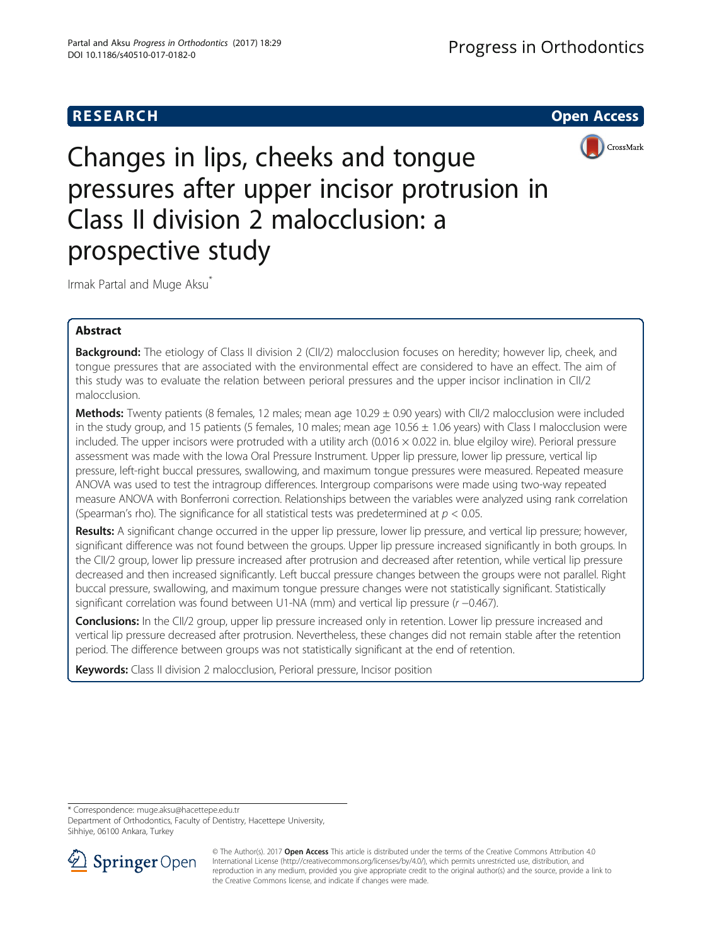

Changes in lips, cheeks and tongue pressures after upper incisor protrusion in Class II division 2 malocclusion: a prospective study

Irmak Partal and Muge Aksu<sup>\*</sup>

## Abstract

Background: The etiology of Class II division 2 (CII/2) malocclusion focuses on heredity; however lip, cheek, and tongue pressures that are associated with the environmental effect are considered to have an effect. The aim of this study was to evaluate the relation between perioral pressures and the upper incisor inclination in CII/2 malocclusion.

**Methods:** Twenty patients (8 females, 12 males; mean age  $10.29 \pm 0.90$  years) with CII/2 malocclusion were included in the study group, and 15 patients (5 females, 10 males; mean age  $10.56 \pm 1.06$  years) with Class I malocclusion were included. The upper incisors were protruded with a utility arch  $(0.016 \times 0.022$  in. blue elgiloy wire). Perioral pressure assessment was made with the Iowa Oral Pressure Instrument. Upper lip pressure, lower lip pressure, vertical lip pressure, left-right buccal pressures, swallowing, and maximum tongue pressures were measured. Repeated measure ANOVA was used to test the intragroup differences. Intergroup comparisons were made using two-way repeated measure ANOVA with Bonferroni correction. Relationships between the variables were analyzed using rank correlation (Spearman's rho). The significance for all statistical tests was predetermined at  $p < 0.05$ .

Results: A significant change occurred in the upper lip pressure, lower lip pressure, and vertical lip pressure; however, significant difference was not found between the groups. Upper lip pressure increased significantly in both groups. In the CII/2 group, lower lip pressure increased after protrusion and decreased after retention, while vertical lip pressure decreased and then increased significantly. Left buccal pressure changes between the groups were not parallel. Right buccal pressure, swallowing, and maximum tongue pressure changes were not statistically significant. Statistically significant correlation was found between U1-NA (mm) and vertical lip pressure (r −0.467).

**Conclusions:** In the CII/2 group, upper lip pressure increased only in retention. Lower lip pressure increased and vertical lip pressure decreased after protrusion. Nevertheless, these changes did not remain stable after the retention period. The difference between groups was not statistically significant at the end of retention.

Keywords: Class II division 2 malocclusion, Perioral pressure, Incisor position

\* Correspondence: [muge.aksu@hacettepe.edu.tr](mailto:muge.aksu@hacettepe.edu.tr)

Department of Orthodontics, Faculty of Dentistry, Hacettepe University, Sihhiye, 06100 Ankara, Turkey



<sup>©</sup> The Author(s). 2017 **Open Access** This article is distributed under the terms of the Creative Commons Attribution 4.0 International License ([http://creativecommons.org/licenses/by/4.0/\)](http://creativecommons.org/licenses/by/4.0/), which permits unrestricted use, distribution, and reproduction in any medium, provided you give appropriate credit to the original author(s) and the source, provide a link to the Creative Commons license, and indicate if changes were made.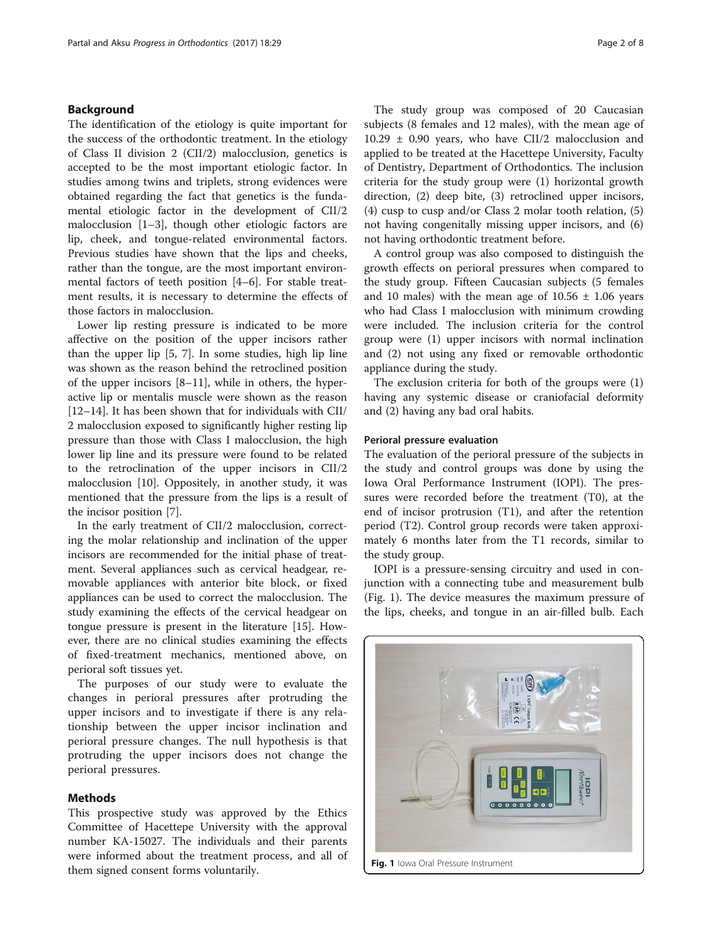## Background

The identification of the etiology is quite important for the success of the orthodontic treatment. In the etiology of Class II division 2 (CII/2) malocclusion, genetics is accepted to be the most important etiologic factor. In studies among twins and triplets, strong evidences were obtained regarding the fact that genetics is the fundamental etiologic factor in the development of CII/2 malocclusion [[1](#page-6-0)–[3\]](#page-6-0), though other etiologic factors are lip, cheek, and tongue-related environmental factors. Previous studies have shown that the lips and cheeks, rather than the tongue, are the most important environmental factors of teeth position [[4](#page-6-0)–[6](#page-6-0)]. For stable treatment results, it is necessary to determine the effects of those factors in malocclusion.

Lower lip resting pressure is indicated to be more affective on the position of the upper incisors rather than the upper lip [\[5](#page-6-0), [7](#page-6-0)]. In some studies, high lip line was shown as the reason behind the retroclined position of the upper incisors [\[8](#page-6-0)–[11\]](#page-6-0), while in others, the hyperactive lip or mentalis muscle were shown as the reason [[12](#page-6-0)–[14](#page-6-0)]. It has been shown that for individuals with CII/ 2 malocclusion exposed to significantly higher resting lip pressure than those with Class I malocclusion, the high lower lip line and its pressure were found to be related to the retroclination of the upper incisors in CII/2 malocclusion [\[10\]](#page-6-0). Oppositely, in another study, it was mentioned that the pressure from the lips is a result of the incisor position [\[7\]](#page-6-0).

In the early treatment of CII/2 malocclusion, correcting the molar relationship and inclination of the upper incisors are recommended for the initial phase of treatment. Several appliances such as cervical headgear, removable appliances with anterior bite block, or fixed appliances can be used to correct the malocclusion. The study examining the effects of the cervical headgear on tongue pressure is present in the literature [[15\]](#page-6-0). However, there are no clinical studies examining the effects of fixed-treatment mechanics, mentioned above, on perioral soft tissues yet.

The purposes of our study were to evaluate the changes in perioral pressures after protruding the upper incisors and to investigate if there is any relationship between the upper incisor inclination and perioral pressure changes. The null hypothesis is that protruding the upper incisors does not change the perioral pressures.

## Methods

This prospective study was approved by the Ethics Committee of Hacettepe University with the approval number KA-15027. The individuals and their parents were informed about the treatment process, and all of them signed consent forms voluntarily.

The study group was composed of 20 Caucasian subjects (8 females and 12 males), with the mean age of  $10.29 \pm 0.90$  years, who have CII/2 malocclusion and applied to be treated at the Hacettepe University, Faculty of Dentistry, Department of Orthodontics. The inclusion criteria for the study group were (1) horizontal growth direction, (2) deep bite, (3) retroclined upper incisors, (4) cusp to cusp and/or Class 2 molar tooth relation, (5) not having congenitally missing upper incisors, and (6) not having orthodontic treatment before.

A control group was also composed to distinguish the growth effects on perioral pressures when compared to the study group. Fifteen Caucasian subjects (5 females and 10 males) with the mean age of  $10.56 \pm 1.06$  years who had Class I malocclusion with minimum crowding were included. The inclusion criteria for the control group were (1) upper incisors with normal inclination and (2) not using any fixed or removable orthodontic appliance during the study.

The exclusion criteria for both of the groups were (1) having any systemic disease or craniofacial deformity and (2) having any bad oral habits.

## Perioral pressure evaluation

The evaluation of the perioral pressure of the subjects in the study and control groups was done by using the Iowa Oral Performance Instrument (IOPI). The pressures were recorded before the treatment (T0), at the end of incisor protrusion (T1), and after the retention period (T2). Control group records were taken approximately 6 months later from the T1 records, similar to the study group.

IOPI is a pressure-sensing circuitry and used in conjunction with a connecting tube and measurement bulb (Fig. 1). The device measures the maximum pressure of the lips, cheeks, and tongue in an air-filled bulb. Each

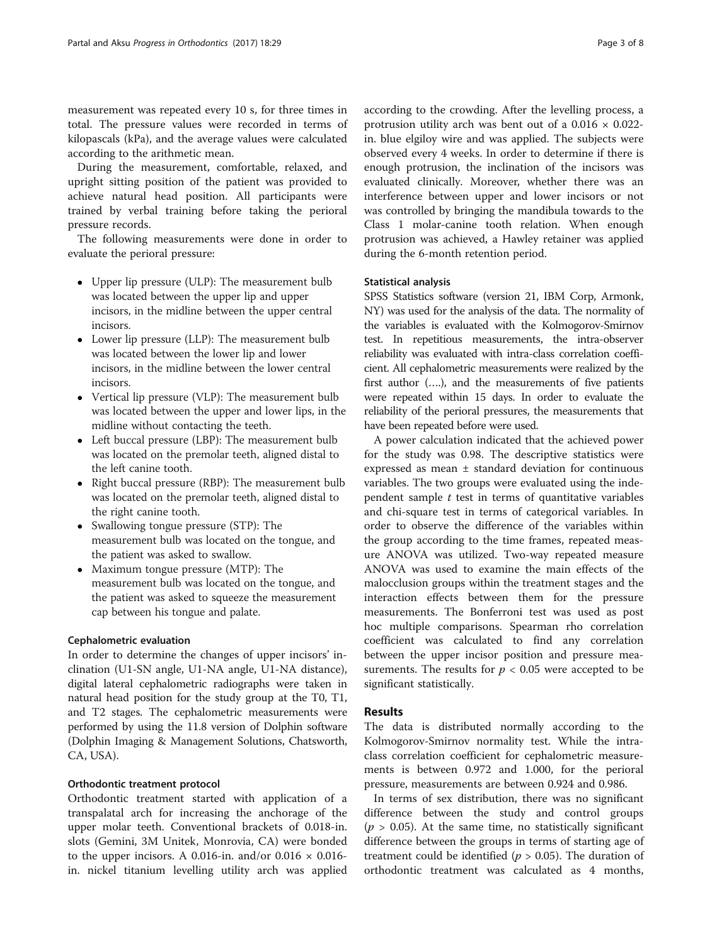measurement was repeated every 10 s, for three times in total. The pressure values were recorded in terms of kilopascals (kPa), and the average values were calculated according to the arithmetic mean.

During the measurement, comfortable, relaxed, and upright sitting position of the patient was provided to achieve natural head position. All participants were trained by verbal training before taking the perioral pressure records.

The following measurements were done in order to evaluate the perioral pressure:

- Upper lip pressure (ULP): The measurement bulb was located between the upper lip and upper incisors, in the midline between the upper central incisors.
- Lower lip pressure (LLP): The measurement bulb was located between the lower lip and lower incisors, in the midline between the lower central incisors.
- Vertical lip pressure (VLP): The measurement bulb was located between the upper and lower lips, in the midline without contacting the teeth.
- Left buccal pressure (LBP): The measurement bulb was located on the premolar teeth, aligned distal to the left canine tooth.
- Right buccal pressure (RBP): The measurement bulb was located on the premolar teeth, aligned distal to the right canine tooth.
- Swallowing tongue pressure (STP): The measurement bulb was located on the tongue, and the patient was asked to swallow.
- Maximum tongue pressure (MTP): The measurement bulb was located on the tongue, and the patient was asked to squeeze the measurement cap between his tongue and palate.

## Cephalometric evaluation

In order to determine the changes of upper incisors' inclination (U1-SN angle, U1-NA angle, U1-NA distance), digital lateral cephalometric radiographs were taken in natural head position for the study group at the T0, T1, and T2 stages. The cephalometric measurements were performed by using the 11.8 version of Dolphin software (Dolphin Imaging & Management Solutions, Chatsworth, CA, USA).

## Orthodontic treatment protocol

Orthodontic treatment started with application of a transpalatal arch for increasing the anchorage of the upper molar teeth. Conventional brackets of 0.018-in. slots (Gemini, 3M Unitek, Monrovia, CA) were bonded to the upper incisors. A 0.016-in. and/or  $0.016 \times 0.016$ in. nickel titanium levelling utility arch was applied

according to the crowding. After the levelling process, a protrusion utility arch was bent out of a  $0.016 \times 0.022$ in. blue elgiloy wire and was applied. The subjects were observed every 4 weeks. In order to determine if there is enough protrusion, the inclination of the incisors was evaluated clinically. Moreover, whether there was an interference between upper and lower incisors or not was controlled by bringing the mandibula towards to the Class 1 molar-canine tooth relation. When enough protrusion was achieved, a Hawley retainer was applied

## Statistical analysis

during the 6-month retention period.

SPSS Statistics software (version 21, IBM Corp, Armonk, NY) was used for the analysis of the data. The normality of the variables is evaluated with the Kolmogorov-Smirnov test. In repetitious measurements, the intra-observer reliability was evaluated with intra-class correlation coefficient. All cephalometric measurements were realized by the first author (….), and the measurements of five patients were repeated within 15 days. In order to evaluate the reliability of the perioral pressures, the measurements that have been repeated before were used.

A power calculation indicated that the achieved power for the study was 0.98. The descriptive statistics were expressed as mean ± standard deviation for continuous variables. The two groups were evaluated using the independent sample  $t$  test in terms of quantitative variables and chi-square test in terms of categorical variables. In order to observe the difference of the variables within the group according to the time frames, repeated measure ANOVA was utilized. Two-way repeated measure ANOVA was used to examine the main effects of the malocclusion groups within the treatment stages and the interaction effects between them for the pressure measurements. The Bonferroni test was used as post hoc multiple comparisons. Spearman rho correlation coefficient was calculated to find any correlation between the upper incisor position and pressure measurements. The results for  $p < 0.05$  were accepted to be significant statistically.

## Results

The data is distributed normally according to the Kolmogorov-Smirnov normality test. While the intraclass correlation coefficient for cephalometric measurements is between 0.972 and 1.000, for the perioral pressure, measurements are between 0.924 and 0.986.

In terms of sex distribution, there was no significant difference between the study and control groups  $(p > 0.05)$ . At the same time, no statistically significant difference between the groups in terms of starting age of treatment could be identified ( $p > 0.05$ ). The duration of orthodontic treatment was calculated as 4 months,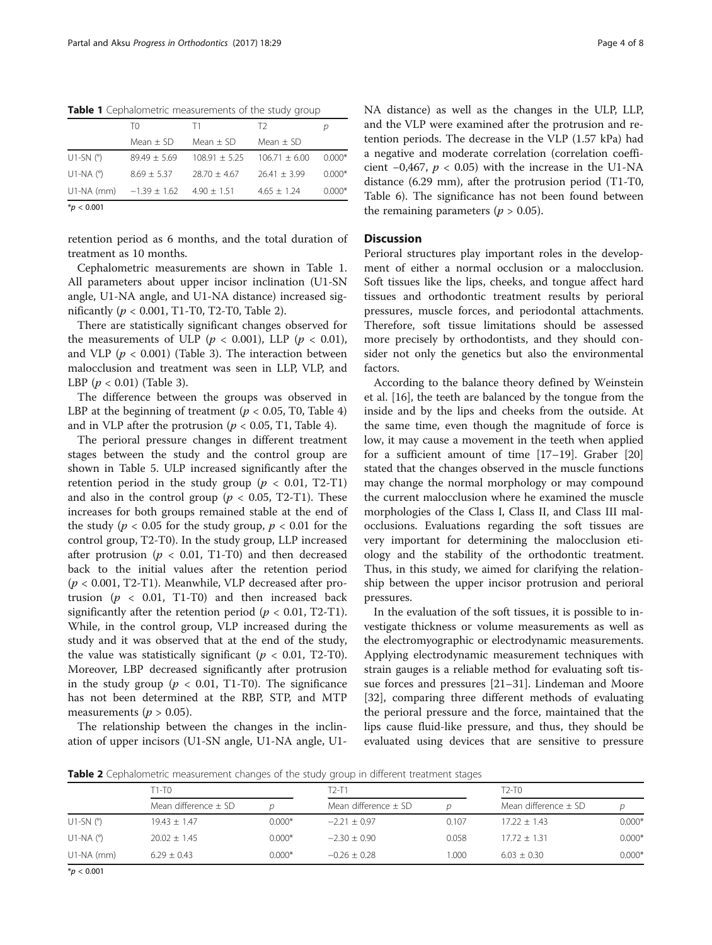Table 1 Cephalometric measurements of the study group

|                          | T0               | T1              | T2              |          |
|--------------------------|------------------|-----------------|-----------------|----------|
|                          | Mean $\pm$ SD    | Mean $\pm$ SD   | Mean $\pm$ SD   |          |
| U1-SN $(°)$              | $89.49 + 5.69$   | $108.91 + 5.25$ | $106.71 + 6.00$ | $0.000*$ |
| U <sub>1</sub> -NA $(°)$ | $8.69 + 5.37$    | $28.70 + 4.67$  | $76.41 + 3.99$  | $0.000*$ |
| U1-NA (mm)               | $-1.39 \pm 1.62$ | $4.90 \pm 1.51$ | $4.65 + 1.24$   | $0.000*$ |
| $*$ <i>p</i> < 0.001     |                  |                 |                 |          |

retention period as 6 months, and the total duration of treatment as 10 months.

Cephalometric measurements are shown in Table 1. All parameters about upper incisor inclination (U1-SN angle, U1-NA angle, and U1-NA distance) increased significantly ( $p < 0.001$ , T1-T0, T2-T0, Table 2).

There are statistically significant changes observed for the measurements of ULP ( $p < 0.001$ ), LLP ( $p < 0.01$ ), and VLP ( $p < 0.001$ ) (Table [3](#page-4-0)). The interaction between malocclusion and treatment was seen in LLP, VLP, and LBP  $(p < 0.01)$  (Table [3](#page-4-0)).

The difference between the groups was observed in LBP at the beginning of treatment ( $p < 0.05$ , T0, Table [4](#page-4-0)) and in VLP after the protrusion ( $p < 0.05$ , T1, Table [4](#page-4-0)).

The perioral pressure changes in different treatment stages between the study and the control group are shown in Table [5.](#page-5-0) ULP increased significantly after the retention period in the study group ( $p < 0.01$ , T2-T1) and also in the control group ( $p < 0.05$ , T2-T1). These increases for both groups remained stable at the end of the study ( $p < 0.05$  for the study group,  $p < 0.01$  for the control group, T2-T0). In the study group, LLP increased after protrusion ( $p < 0.01$ , T1-T0) and then decreased back to the initial values after the retention period  $(p < 0.001, T2-T1)$ . Meanwhile, VLP decreased after protrusion ( $p < 0.01$ , T1-T0) and then increased back significantly after the retention period ( $p < 0.01$ , T2-T1). While, in the control group, VLP increased during the study and it was observed that at the end of the study, the value was statistically significant ( $p < 0.01$ , T2-T0). Moreover, LBP decreased significantly after protrusion in the study group ( $p < 0.01$ , T1-T0). The significance has not been determined at the RBP, STP, and MTP measurements ( $p > 0.05$ ).

The relationship between the changes in the inclination of upper incisors (U1-SN angle, U1-NA angle, U1NA distance) as well as the changes in the ULP, LLP, and the VLP were examined after the protrusion and retention periods. The decrease in the VLP (1.57 kPa) had a negative and moderate correlation (correlation coefficient  $-0,467, p < 0.05$ ) with the increase in the U1-NA distance (6.29 mm), after the protrusion period (T1-T0, Table [6\)](#page-5-0). The significance has not been found between the remaining parameters ( $p > 0.05$ ).

## **Discussion**

Perioral structures play important roles in the development of either a normal occlusion or a malocclusion. Soft tissues like the lips, cheeks, and tongue affect hard tissues and orthodontic treatment results by perioral pressures, muscle forces, and periodontal attachments. Therefore, soft tissue limitations should be assessed more precisely by orthodontists, and they should consider not only the genetics but also the environmental factors.

According to the balance theory defined by Weinstein et al. [[16\]](#page-6-0), the teeth are balanced by the tongue from the inside and by the lips and cheeks from the outside. At the same time, even though the magnitude of force is low, it may cause a movement in the teeth when applied for a sufficient amount of time [\[17](#page-6-0)–[19\]](#page-6-0). Graber [[20](#page-6-0)] stated that the changes observed in the muscle functions may change the normal morphology or may compound the current malocclusion where he examined the muscle morphologies of the Class I, Class II, and Class III malocclusions. Evaluations regarding the soft tissues are very important for determining the malocclusion etiology and the stability of the orthodontic treatment. Thus, in this study, we aimed for clarifying the relationship between the upper incisor protrusion and perioral pressures.

In the evaluation of the soft tissues, it is possible to investigate thickness or volume measurements as well as the electromyographic or electrodynamic measurements. Applying electrodynamic measurement techniques with strain gauges is a reliable method for evaluating soft tissue forces and pressures [\[21](#page-6-0)–[31\]](#page-6-0). Lindeman and Moore [[32\]](#page-6-0), comparing three different methods of evaluating the perioral pressure and the force, maintained that the lips cause fluid-like pressure, and thus, they should be evaluated using devices that are sensitive to pressure

Table 2 Cephalometric measurement changes of the study group in different treatment stages

|                       | $T1-T0$                  |          | $T2-T1$                  |       | $T2-T0$                  |          |  |
|-----------------------|--------------------------|----------|--------------------------|-------|--------------------------|----------|--|
|                       | Mean difference $\pm$ SD |          | Mean difference $\pm$ SD |       | Mean difference $\pm$ SD |          |  |
| $U1-SN$ ( $\degree$ ) | $19.43 + 1.47$           | $0.000*$ | $-2.21 + 0.97$           | 0.107 | $17.22 + 1.43$           | $0.000*$ |  |
| U1-NA $(^\circ)$      | $20.02 \pm 1.45$         | $0.000*$ | $-2.30 + 0.90$           | 0.058 | $17.72 + 1.31$           | $0.000*$ |  |
| $U1-NA$ (mm)          | $6.29 \pm 0.43$          | $0.000*$ | $-0.26 + 0.28$           | .000  | $6.03 + 0.30$            | $0.000*$ |  |

 $*p < 0.001$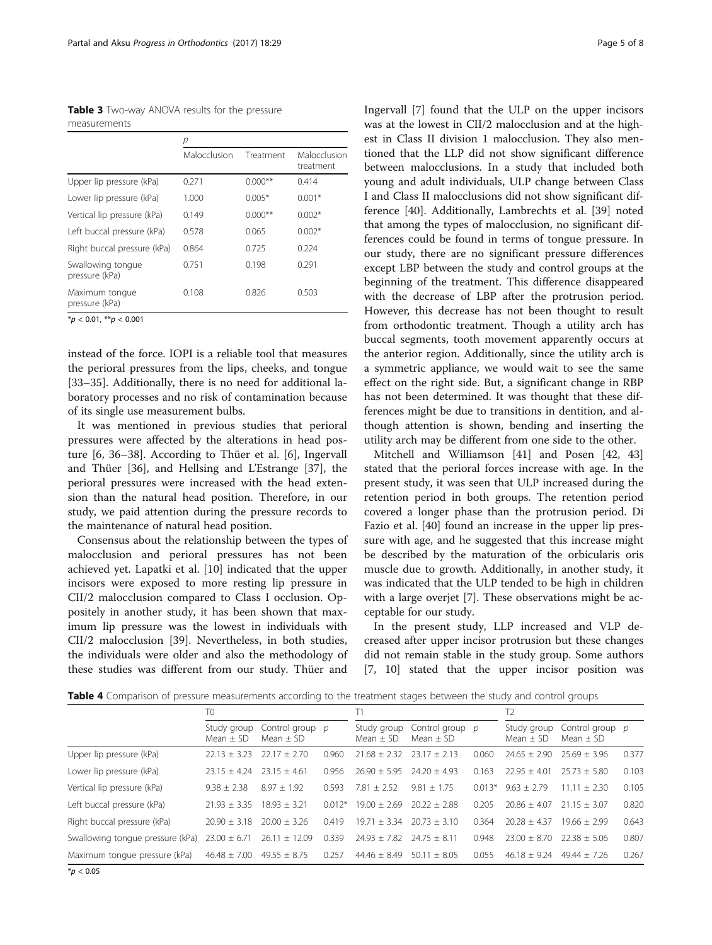<span id="page-4-0"></span>Table 3 Two-way ANOVA results for the pressure measurements

|                                     | р            |           |                           |
|-------------------------------------|--------------|-----------|---------------------------|
|                                     | Malocclusion | Treatment | Malocclusion<br>treatment |
| Upper lip pressure (kPa)            | 0.271        | $0.000**$ | 0.414                     |
| Lower lip pressure (kPa)            | 1.000        | $0.005*$  | $0.001*$                  |
| Vertical lip pressure (kPa)         | 0.149        | $0.000**$ | $0.002*$                  |
| Left buccal pressure (kPa)          | 0578         | 0.065     | $0.002*$                  |
| Right buccal pressure (kPa)         | 0.864        | 0.725     | 0.224                     |
| Swallowing tongue<br>pressure (kPa) | 0.751        | 0.198     | 0.291                     |
| Maximum tongue<br>pressure (kPa)    | 0.108        | 0.826     | 0.503                     |

 $*p < 0.01, **p < 0.001$ 

instead of the force. IOPI is a reliable tool that measures the perioral pressures from the lips, cheeks, and tongue [[33](#page-6-0)–[35](#page-7-0)]. Additionally, there is no need for additional laboratory processes and no risk of contamination because of its single use measurement bulbs.

It was mentioned in previous studies that perioral pressures were affected by the alterations in head posture [\[6](#page-6-0), [36](#page-7-0)–[38\]](#page-7-0). According to Thüer et al. [[6\]](#page-6-0), Ingervall and Thüer [[36\]](#page-7-0), and Hellsing and L'Estrange [[37](#page-7-0)], the perioral pressures were increased with the head extension than the natural head position. Therefore, in our study, we paid attention during the pressure records to the maintenance of natural head position.

Consensus about the relationship between the types of malocclusion and perioral pressures has not been achieved yet. Lapatki et al. [[10](#page-6-0)] indicated that the upper incisors were exposed to more resting lip pressure in CII/2 malocclusion compared to Class I occlusion. Oppositely in another study, it has been shown that maximum lip pressure was the lowest in individuals with CII/2 malocclusion [[39\]](#page-7-0). Nevertheless, in both studies, the individuals were older and also the methodology of these studies was different from our study. Thüer and Ingervall [[7\]](#page-6-0) found that the ULP on the upper incisors was at the lowest in CII/2 malocclusion and at the highest in Class II division 1 malocclusion. They also mentioned that the LLP did not show significant difference between malocclusions. In a study that included both young and adult individuals, ULP change between Class I and Class II malocclusions did not show significant difference [[40](#page-7-0)]. Additionally, Lambrechts et al. [\[39\]](#page-7-0) noted that among the types of malocclusion, no significant differences could be found in terms of tongue pressure. In our study, there are no significant pressure differences except LBP between the study and control groups at the beginning of the treatment. This difference disappeared with the decrease of LBP after the protrusion period. However, this decrease has not been thought to result from orthodontic treatment. Though a utility arch has buccal segments, tooth movement apparently occurs at the anterior region. Additionally, since the utility arch is a symmetric appliance, we would wait to see the same effect on the right side. But, a significant change in RBP has not been determined. It was thought that these differences might be due to transitions in dentition, and although attention is shown, bending and inserting the utility arch may be different from one side to the other.

Mitchell and Williamson [[41\]](#page-7-0) and Posen [[42, 43](#page-7-0)] stated that the perioral forces increase with age. In the present study, it was seen that ULP increased during the retention period in both groups. The retention period covered a longer phase than the protrusion period. Di Fazio et al. [[40\]](#page-7-0) found an increase in the upper lip pressure with age, and he suggested that this increase might be described by the maturation of the orbicularis oris muscle due to growth. Additionally, in another study, it was indicated that the ULP tended to be high in children with a large overjet [[7\]](#page-6-0). These observations might be acceptable for our study.

In the present study, LLP increased and VLP decreased after upper incisor protrusion but these changes did not remain stable in the study group. Some authors [[7, 10](#page-6-0)] stated that the upper incisor position was

Table 4 Comparison of pressure measurements according to the treatment stages between the study and control groups

|                                  | T0                         |                                  |          |                              |                                  |          | T <sub>2</sub>               |                                    |       |
|----------------------------------|----------------------------|----------------------------------|----------|------------------------------|----------------------------------|----------|------------------------------|------------------------------------|-------|
|                                  | Study group<br>Mean $+$ SD | Control group $p$<br>$Mean + SD$ |          | Study group<br>Mean $\pm$ SD | Control group p<br>Mean $\pm$ SD |          | Study group<br>Mean $\pm$ SD | Control group $p$<br>Mean $\pm$ SD |       |
| Upper lip pressure (kPa)         | $22.13 \pm 3.23$           | $22.17 + 2.70$                   | 0.960    | $21.68 \pm 2.32$             | $23.17 + 2.13$                   | 0.060    | $74.65 + 7.90$               | $25.69 + 3.96$                     | 0.377 |
| Lower lip pressure (kPa)         | $23.15 + 4.24$             | $23.15 + 4.61$                   | 0.956    | $26.90 + 5.95$               | $24.20 + 4.93$                   | 0.163    | $22.95 \pm 4.01$             | $25.73 + 5.80$                     | 0.103 |
| Vertical lip pressure (kPa)      | $9.38 + 2.38$              | $8.97 + 1.92$                    | 0.593    | $7.81 + 2.52$                | $9.81 + 1.75$                    | $0.013*$ | $9.63 + 2.79$                | $11.11 + 2.30$                     | 0.105 |
| Left buccal pressure (kPa)       | $21.93 \pm 3.35$           | $18.93 + 3.21$                   | $0.012*$ | $19.00 + 2.69$               | $20.22 + 2.88$                   | 0.205    | $20.86 + 4.07$               | $21.15 + 3.07$                     | 0.820 |
| Right buccal pressure (kPa)      | $20.90 + 3.18$             | $20.00 + 3.26$                   | 0.419    | $19.71 + 3.34$               | $20.73 + 3.10$                   | 0.364    | $20.28 + 4.37$               | $19.66 \pm 2.99$                   | 0.643 |
| Swallowing tonque pressure (kPa) | $23.00 \pm 6.71$           | $26.11 \pm 12.09$                | 0.339    | $24.93 \pm 7.82$             | $24.75 + 8.11$                   | 0.948    | $23.00 + 8.70$               | $22.38 + 5.06$                     | 0.807 |
| Maximum tonque pressure (kPa)    | $46.48 \pm 7.00$           | $49.55 \pm 8.75$                 | 0.257    | $44.46 + 8.49$               | $50.11 + 8.05$                   | 0.055    | $46.18 + 9.24$               | $49.44 \pm 7.26$                   | 0.267 |
|                                  |                            |                                  |          |                              |                                  |          |                              |                                    |       |

 $*$ *p* < 0.05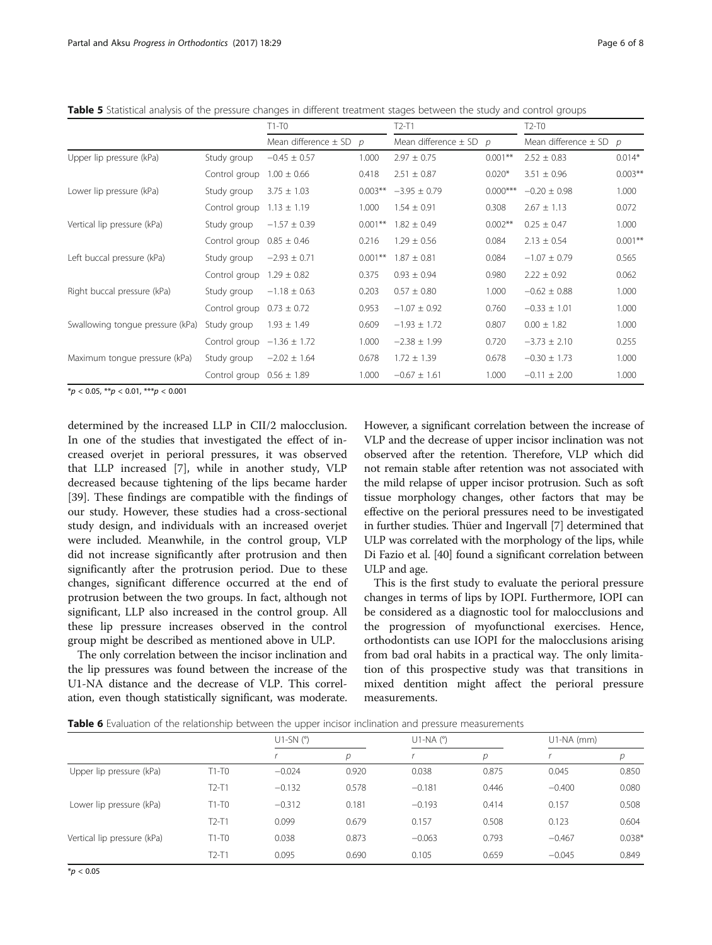<span id="page-5-0"></span>

|  | Table 5 Statistical analysis of the pressure changes in different treatment stages between the study and control groups |  |  |  |  |  |
|--|-------------------------------------------------------------------------------------------------------------------------|--|--|--|--|--|
|  |                                                                                                                         |  |  |  |  |  |

|                                  |               | $T1-T0$                  |            | $T2-T1$                      |            | $T2-T0$                      |            |
|----------------------------------|---------------|--------------------------|------------|------------------------------|------------|------------------------------|------------|
|                                  |               | Mean difference $\pm$ SD | D          | Mean difference $\pm$ SD $p$ |            | Mean difference $\pm$ SD $p$ |            |
| Upper lip pressure (kPa)         | Study group   | $-0.45 \pm 0.57$         | 1.000      | $2.97 \pm 0.75$              | $0.001**$  | $2.52 \pm 0.83$              | $0.014*$   |
|                                  | Control group | $1.00 \pm 0.66$          | 0.418      | $2.51 \pm 0.87$              | $0.020*$   | $3.51 \pm 0.96$              | $0.003**$  |
| Lower lip pressure (kPa)         | Study group   | $3.75 \pm 1.03$          | $0.003***$ | $-3.95 \pm 0.79$             | $0.000***$ | $-0.20 \pm 0.98$             | 1.000      |
|                                  | Control group | $1.13 \pm 1.19$          | 1.000      | $1.54 \pm 0.91$              | 0.308      | $2.67 \pm 1.13$              | 0.072      |
| Vertical lip pressure (kPa)      | Study group   | $-1.57 \pm 0.39$         | $0.001***$ | $1.82 \pm 0.49$              | $0.002**$  | $0.25 \pm 0.47$              | 1.000      |
|                                  | Control group | $0.85 \pm 0.46$          | 0.216      | $1.29 \pm 0.56$              | 0.084      | $2.13 \pm 0.54$              | $0.001***$ |
| Left buccal pressure (kPa)       | Study group   | $-2.93 \pm 0.71$         | $0.001***$ | $1.87 \pm 0.81$              | 0.084      | $-1.07 \pm 0.79$             | 0.565      |
|                                  | Control group | $1.29 \pm 0.82$          | 0.375      | $0.93 \pm 0.94$              | 0.980      | $2.22 \pm 0.92$              | 0.062      |
| Right buccal pressure (kPa)      | Study group   | $-1.18 \pm 0.63$         | 0.203      | $0.57 \pm 0.80$              | 1.000      | $-0.62 \pm 0.88$             | 1.000      |
|                                  | Control group | $0.73 \pm 0.72$          | 0.953      | $-1.07 \pm 0.92$             | 0.760      | $-0.33 \pm 1.01$             | 1.000      |
| Swallowing tonque pressure (kPa) | Study group   | $1.93 \pm 1.49$          | 0.609      | $-1.93 \pm 1.72$             | 0.807      | $0.00 \pm 1.82$              | 1.000      |
|                                  | Control group | $-1.36 \pm 1.72$         | 1.000      | $-2.38 \pm 1.99$             | 0.720      | $-3.73 \pm 2.10$             | 0.255      |
| Maximum tongue pressure (kPa)    | Study group   | $-2.02 \pm 1.64$         | 0.678      | $1.72 \pm 1.39$              | 0.678      | $-0.30 \pm 1.73$             | 1.000      |
|                                  | Control group | $0.56 \pm 1.89$          | 1.000      | $-0.67 \pm 1.61$             | 1.000      | $-0.11 \pm 2.00$             | 1.000      |

 $*p < 0.05$ ,  $**p < 0.01$ ,  $***p < 0.001$ 

determined by the increased LLP in CII/2 malocclusion. In one of the studies that investigated the effect of increased overjet in perioral pressures, it was observed that LLP increased [\[7](#page-6-0)], while in another study, VLP decreased because tightening of the lips became harder [[39\]](#page-7-0). These findings are compatible with the findings of our study. However, these studies had a cross-sectional study design, and individuals with an increased overjet were included. Meanwhile, in the control group, VLP did not increase significantly after protrusion and then significantly after the protrusion period. Due to these changes, significant difference occurred at the end of protrusion between the two groups. In fact, although not significant, LLP also increased in the control group. All these lip pressure increases observed in the control group might be described as mentioned above in ULP.

The only correlation between the incisor inclination and the lip pressures was found between the increase of the U1-NA distance and the decrease of VLP. This correlation, even though statistically significant, was moderate. However, a significant correlation between the increase of VLP and the decrease of upper incisor inclination was not observed after the retention. Therefore, VLP which did not remain stable after retention was not associated with the mild relapse of upper incisor protrusion. Such as soft tissue morphology changes, other factors that may be effective on the perioral pressures need to be investigated in further studies. Thüer and Ingervall [[7\]](#page-6-0) determined that ULP was correlated with the morphology of the lips, while Di Fazio et al. [\[40\]](#page-7-0) found a significant correlation between ULP and age.

This is the first study to evaluate the perioral pressure changes in terms of lips by IOPI. Furthermore, IOPI can be considered as a diagnostic tool for malocclusions and the progression of myofunctional exercises. Hence, orthodontists can use IOPI for the malocclusions arising from bad oral habits in a practical way. The only limitation of this prospective study was that transitions in mixed dentition might affect the perioral pressure measurements.

Table 6 Evaluation of the relationship between the upper incisor inclination and pressure measurements

|                             |         | $U1-SN$ ( $\degree$ ) |       | $U1-NA$ ( $^{\circ}$ ) |               | $U1-NA$ (mm) |          |  |
|-----------------------------|---------|-----------------------|-------|------------------------|---------------|--------------|----------|--|
|                             |         |                       | D     |                        | $\mathcal{D}$ |              | D        |  |
| Upper lip pressure (kPa)    | $T1-T0$ | $-0.024$              | 0.920 | 0.038                  | 0.875         | 0.045        | 0.850    |  |
|                             | $T2-T1$ | $-0.132$              | 0.578 | $-0.181$               | 0.446         | $-0.400$     | 0.080    |  |
| Lower lip pressure (kPa)    | $T1-T0$ | $-0.312$              | 0.181 | $-0.193$               | 0.414         | 0.157        | 0.508    |  |
|                             | $T2-T1$ | 0.099                 | 0.679 | 0.157                  | 0.508         | 0.123        | 0.604    |  |
| Vertical lip pressure (kPa) | $T1-T0$ | 0.038                 | 0.873 | $-0.063$               | 0.793         | $-0.467$     | $0.038*$ |  |
|                             | $T2-T1$ | 0.095                 | 0.690 | 0.105                  | 0.659         | $-0.045$     | 0.849    |  |
|                             |         |                       |       |                        |               |              |          |  |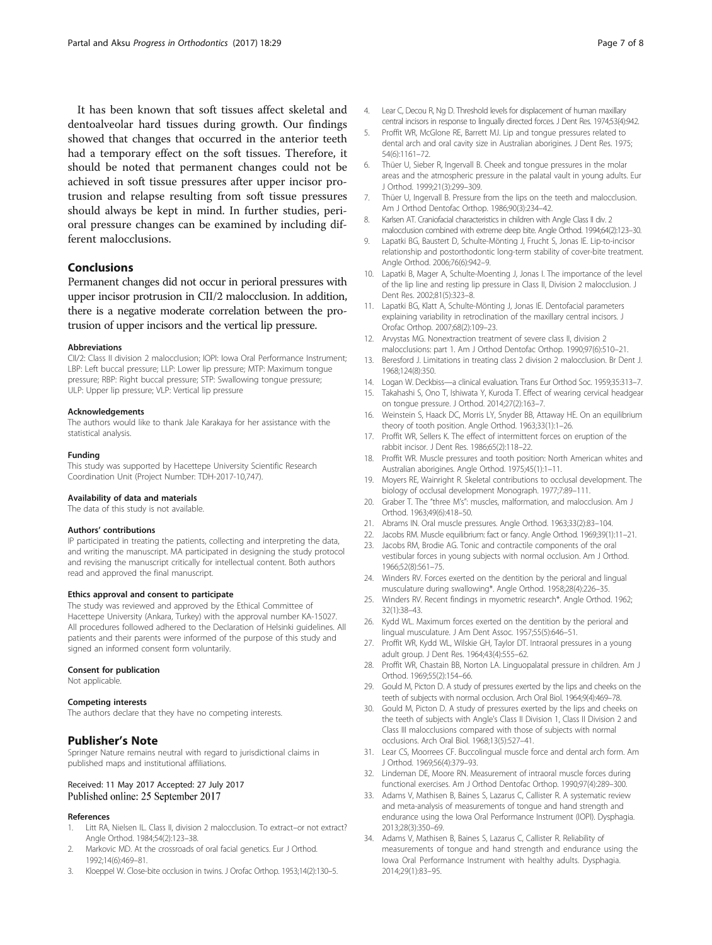<span id="page-6-0"></span>It has been known that soft tissues affect skeletal and dentoalveolar hard tissues during growth. Our findings showed that changes that occurred in the anterior teeth had a temporary effect on the soft tissues. Therefore, it should be noted that permanent changes could not be achieved in soft tissue pressures after upper incisor protrusion and relapse resulting from soft tissue pressures should always be kept in mind. In further studies, perioral pressure changes can be examined by including different malocclusions.

## Conclusions

Permanent changes did not occur in perioral pressures with upper incisor protrusion in CII/2 malocclusion. In addition, there is a negative moderate correlation between the protrusion of upper incisors and the vertical lip pressure.

#### Abbreviations

CII/2: Class II division 2 malocclusion; IOPI: Iowa Oral Performance Instrument; LBP: Left buccal pressure; LLP: Lower lip pressure; MTP: Maximum tongue pressure; RBP: Right buccal pressure; STP: Swallowing tongue pressure; ULP: Upper lip pressure; VLP: Vertical lip pressure

#### Acknowledgements

The authors would like to thank Jale Karakaya for her assistance with the statistical analysis.

#### Funding

This study was supported by Hacettepe University Scientific Research Coordination Unit (Project Number: TDH-2017-10,747).

#### Availability of data and materials

The data of this study is not available.

#### Authors' contributions

IP participated in treating the patients, collecting and interpreting the data, and writing the manuscript. MA participated in designing the study protocol and revising the manuscript critically for intellectual content. Both authors read and approved the final manuscript.

#### Ethics approval and consent to participate

The study was reviewed and approved by the Ethical Committee of Hacettepe University (Ankara, Turkey) with the approval number KA-15027. All procedures followed adhered to the Declaration of Helsinki guidelines. All patients and their parents were informed of the purpose of this study and signed an informed consent form voluntarily.

#### Consent for publication

Not applicable.

## Competing interests

The authors declare that they have no competing interests.

## Publisher's Note

Springer Nature remains neutral with regard to jurisdictional claims in published maps and institutional affiliations.

## Received: 11 May 2017 Accepted: 27 July 2017 Published online: 25 September 2017

#### References

- Litt RA, Nielsen IL. Class II, division 2 malocclusion. To extract-or not extract? Angle Orthod. 1984;54(2):123–38.
- Markovic MD. At the crossroads of oral facial genetics. Eur J Orthod. 1992;14(6):469–81.
- 3. Kloeppel W. Close-bite occlusion in twins. J Orofac Orthop. 1953;14(2):130–5.
- 4. Lear C, Decou R, Ng D. Threshold levels for displacement of human maxillary central incisors in response to lingually directed forces. J Dent Res. 1974;53(4):942.
- 5. Proffit WR, McGlone RE, Barrett MJ. Lip and tongue pressures related to dental arch and oral cavity size in Australian aborigines. J Dent Res. 1975; 54(6):1161–72.
- 6. Thüer U, Sieber R, Ingervall B. Cheek and tongue pressures in the molar areas and the atmospheric pressure in the palatal vault in young adults. Eur J Orthod. 1999;21(3):299–309.
- 7. Thüer U, Ingervall B. Pressure from the lips on the teeth and malocclusion. Am J Orthod Dentofac Orthop. 1986;90(3):234–42.
- 8. Karlsen AT. Craniofacial characteristics in children with Angle Class II div. 2 malocclusion combined with extreme deep bite. Angle Orthod. 1994;64(2):123–30.
- 9. Lapatki BG, Baustert D, Schulte-Mönting J, Frucht S, Jonas IE. Lip-to-incisor relationship and postorthodontic long-term stability of cover-bite treatment. Angle Orthod. 2006;76(6):942–9.
- 10. Lapatki B, Mager A, Schulte-Moenting J, Jonas I. The importance of the level of the lip line and resting lip pressure in Class II, Division 2 malocclusion. J Dent Res. 2002;81(5):323–8.
- 11. Lapatki BG, Klatt A, Schulte-Mönting J, Jonas IE. Dentofacial parameters explaining variability in retroclination of the maxillary central incisors. J Orofac Orthop. 2007;68(2):109–23.
- 12. Arvystas MG. Nonextraction treatment of severe class II, division 2 malocclusions: part 1. Am J Orthod Dentofac Orthop. 1990;97(6):510–21.
- 13. Beresford J. Limitations in treating class 2 division 2 malocclusion. Br Dent J. 1968;124(8):350.
- 14. Logan W. Deckbiss—a clinical evaluation. Trans Eur Orthod Soc. 1959;35:313–7.
- 15. Takahashi S, Ono T, Ishiwata Y, Kuroda T. Effect of wearing cervical headgear on tongue pressure. J Orthod. 2014;27(2):163–7.
- 16. Weinstein S, Haack DC, Morris LY, Snyder BB, Attaway HE. On an equilibrium theory of tooth position. Angle Orthod. 1963;33(1):1–26.
- 17. Proffit WR, Sellers K. The effect of intermittent forces on eruption of the rabbit incisor. J Dent Res. 1986;65(2):118–22.
- 18. Proffit WR. Muscle pressures and tooth position: North American whites and Australian aborigines. Angle Orthod. 1975;45(1):1–11.
- 19. Moyers RE, Wainright R. Skeletal contributions to occlusal development. The biology of occlusal development Monograph. 1977;7:89–111.
- 20. Graber T. The "three M's": muscles, malformation, and malocclusion. Am J Orthod. 1963;49(6):418–50.
- 21. Abrams IN. Oral muscle pressures. Angle Orthod. 1963;33(2):83–104.
- 22. Jacobs RM. Muscle equilibrium: fact or fancy. Angle Orthod. 1969;39(1):11–21.
- 23. Jacobs RM, Brodie AG. Tonic and contractile components of the oral vestibular forces in young subjects with normal occlusion. Am J Orthod. 1966;52(8):561–75.
- 24. Winders RV. Forces exerted on the dentition by the perioral and lingual musculature during swallowing\*. Angle Orthod. 1958;28(4):226–35.
- 25. Winders RV. Recent findings in myometric research\*. Angle Orthod. 1962; 32(1):38–43.
- 26. Kydd WL. Maximum forces exerted on the dentition by the perioral and lingual musculature. J Am Dent Assoc. 1957;55(5):646–51.
- 27. Proffit WR, Kydd WL, Wilskie GH, Taylor DT. Intraoral pressures in a young adult group. J Dent Res. 1964;43(4):555–62.
- 28. Proffit WR, Chastain BB, Norton LA. Linguopalatal pressure in children. Am J Orthod. 1969;55(2):154–66.
- 29. Gould M, Picton D. A study of pressures exerted by the lips and cheeks on the teeth of subjects with normal occlusion. Arch Oral Biol. 1964;9(4):469–78.
- 30. Gould M, Picton D. A study of pressures exerted by the lips and cheeks on the teeth of subjects with Angle's Class II Division 1, Class II Division 2 and Class III malocclusions compared with those of subjects with normal occlusions. Arch Oral Biol. 1968;13(5):527–41.
- 31. Lear CS, Moorrees CF. Buccolingual muscle force and dental arch form. Am J Orthod. 1969;56(4):379–93.
- 32. Lindeman DE, Moore RN. Measurement of intraoral muscle forces during functional exercises. Am J Orthod Dentofac Orthop. 1990;97(4):289–300.
- 33. Adams V, Mathisen B, Baines S, Lazarus C, Callister R. A systematic review and meta-analysis of measurements of tongue and hand strength and endurance using the Iowa Oral Performance Instrument (IOPI). Dysphagia. 2013;28(3):350–69.
- 34. Adams V, Mathisen B, Baines S, Lazarus C, Callister R. Reliability of measurements of tongue and hand strength and endurance using the Iowa Oral Performance Instrument with healthy adults. Dysphagia. 2014;29(1):83–95.